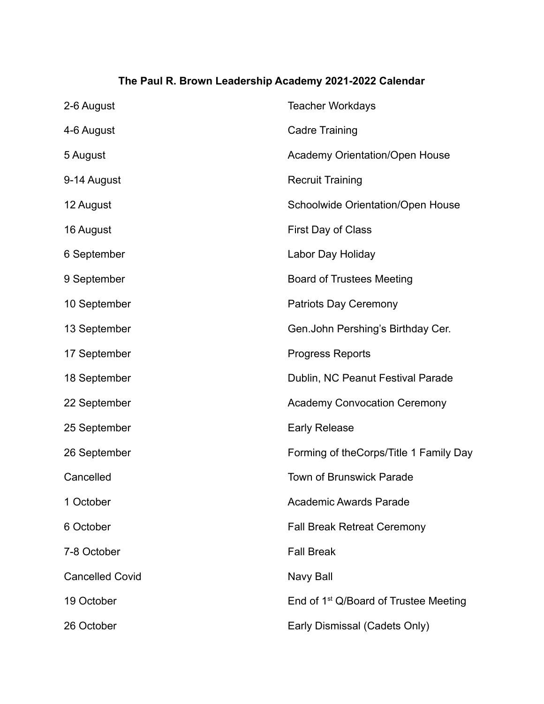## **The Paul R. Brown Leadership Academy 2021-2022 Calendar**

| 2-6 August             | <b>Teacher Workdays</b>                           |
|------------------------|---------------------------------------------------|
| 4-6 August             | <b>Cadre Training</b>                             |
| 5 August               | <b>Academy Orientation/Open House</b>             |
| 9-14 August            | <b>Recruit Training</b>                           |
| 12 August              | Schoolwide Orientation/Open House                 |
| 16 August              | First Day of Class                                |
| 6 September            | Labor Day Holiday                                 |
| 9 September            | <b>Board of Trustees Meeting</b>                  |
| 10 September           | <b>Patriots Day Ceremony</b>                      |
| 13 September           | Gen. John Pershing's Birthday Cer.                |
| 17 September           | <b>Progress Reports</b>                           |
| 18 September           | Dublin, NC Peanut Festival Parade                 |
| 22 September           | <b>Academy Convocation Ceremony</b>               |
| 25 September           | <b>Early Release</b>                              |
| 26 September           | Forming of the Corps/Title 1 Family Day           |
| Cancelled              | Town of Brunswick Parade                          |
| 1 October              | <b>Academic Awards Parade</b>                     |
| 6 October              | <b>Fall Break Retreat Ceremony</b>                |
| 7-8 October            | <b>Fall Break</b>                                 |
| <b>Cancelled Covid</b> | Navy Ball                                         |
| 19 October             | End of 1 <sup>st</sup> Q/Board of Trustee Meeting |
| 26 October             | Early Dismissal (Cadets Only)                     |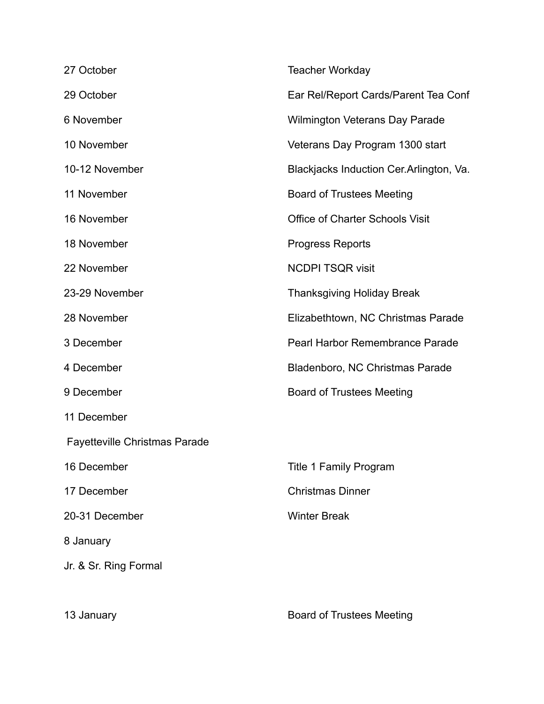| 27 October                           | <b>Teacher Workday</b>                   |
|--------------------------------------|------------------------------------------|
| 29 October                           | Ear Rel/Report Cards/Parent Tea Conf     |
| 6 November                           | <b>Wilmington Veterans Day Parade</b>    |
| 10 November                          | Veterans Day Program 1300 start          |
| 10-12 November                       | Blackjacks Induction Cer. Arlington, Va. |
| 11 November                          | <b>Board of Trustees Meeting</b>         |
| 16 November                          | Office of Charter Schools Visit          |
| 18 November                          | <b>Progress Reports</b>                  |
| 22 November                          | <b>NCDPI TSQR visit</b>                  |
| 23-29 November                       | <b>Thanksgiving Holiday Break</b>        |
| 28 November                          | Elizabethtown, NC Christmas Parade       |
| 3 December                           | Pearl Harbor Remembrance Parade          |
| 4 December                           | Bladenboro, NC Christmas Parade          |
| 9 December                           | <b>Board of Trustees Meeting</b>         |
| 11 December                          |                                          |
| <b>Fayetteville Christmas Parade</b> |                                          |
| 16 December                          | <b>Title 1 Family Program</b>            |
| 17 December                          | <b>Christmas Dinner</b>                  |
| 20-31 December                       | <b>Winter Break</b>                      |
| 8 January                            |                                          |
| Jr. & Sr. Ring Formal                |                                          |
|                                      |                                          |

13 January Board of Trustees Meeting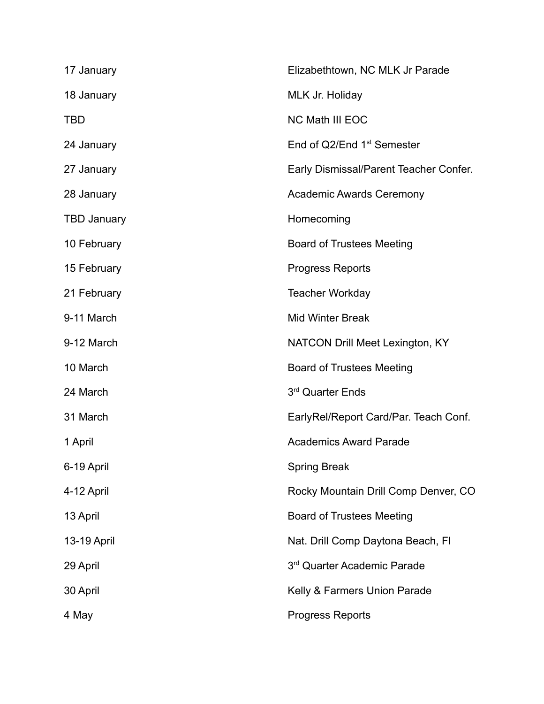| 17 January         | Elizabethtown, NC MLK Jr Parade        |
|--------------------|----------------------------------------|
| 18 January         | MLK Jr. Holiday                        |
| TBD                | <b>NC Math III EOC</b>                 |
| 24 January         | End of Q2/End 1 <sup>st</sup> Semester |
| 27 January         | Early Dismissal/Parent Teacher Confer. |
| 28 January         | <b>Academic Awards Ceremony</b>        |
| <b>TBD January</b> | Homecoming                             |
| 10 February        | <b>Board of Trustees Meeting</b>       |
| 15 February        | <b>Progress Reports</b>                |
| 21 February        | <b>Teacher Workday</b>                 |
| 9-11 March         | <b>Mid Winter Break</b>                |
| 9-12 March         | <b>NATCON Drill Meet Lexington, KY</b> |
| 10 March           | <b>Board of Trustees Meeting</b>       |
| 24 March           | 3rd Quarter Ends                       |
| 31 March           | EarlyRel/Report Card/Par. Teach Conf.  |
| 1 April            | <b>Academics Award Parade</b>          |
| 6-19 April         | <b>Spring Break</b>                    |
| 4-12 April         | Rocky Mountain Drill Comp Denver, CO   |
| 13 April           | <b>Board of Trustees Meeting</b>       |
| 13-19 April        | Nat. Drill Comp Daytona Beach, FI      |
| 29 April           | 3rd Quarter Academic Parade            |
| 30 April           | Kelly & Farmers Union Parade           |
| 4 May              | <b>Progress Reports</b>                |